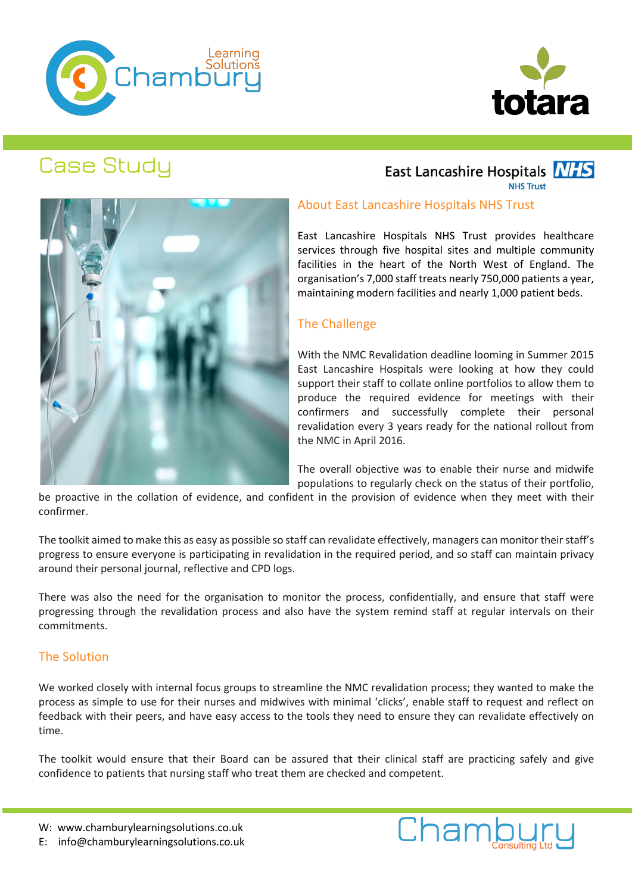



# Case Study

# East Lancashire Hospitals **NHS**

**NHS Trust** 



### About East Lancashire Hospitals NHS Trust

East Lancashire Hospitals NHS Trust provides healthcare services through five hospital sites and multiple community facilities in the heart of the North West of England. The organisation's 7,000 staff treats nearly 750,000 patients a year, maintaining modern facilities and nearly 1,000 patient beds.

### The Challenge

With the NMC Revalidation deadline looming in Summer 2015 East Lancashire Hospitals were looking at how they could support their staff to collate online portfolios to allow them to produce the required evidence for meetings with their confirmers and successfully complete their personal revalidation every 3 years ready for the national rollout from the NMC in April 2016.

The overall objective was to enable their nurse and midwife populations to regularly check on the status of their portfolio,

Chambury

be proactive in the collation of evidence, and confident in the provision of evidence when they meet with their confirmer.

The toolkit aimed to make this as easy as possible so staff can revalidate effectively, managers can monitor their staff's progress to ensure everyone is participating in revalidation in the required period, and so staff can maintain privacy around their personal journal, reflective and CPD logs.

There was also the need for the organisation to monitor the process, confidentially, and ensure that staff were progressing through the revalidation process and also have the system remind staff at regular intervals on their commitments.

#### The Solution

We worked closely with internal focus groups to streamline the NMC revalidation process; they wanted to make the process as simple to use for their nurses and midwives with minimal 'clicks', enable staff to request and reflect on feedback with their peers, and have easy access to the tools they need to ensure they can revalidate effectively on time.

The toolkit would ensure that their Board can be assured that their clinical staff are practicing safely and give confidence to patients that nursing staff who treat them are checked and competent.

W: www.chamburylearningsolutions.co.uk